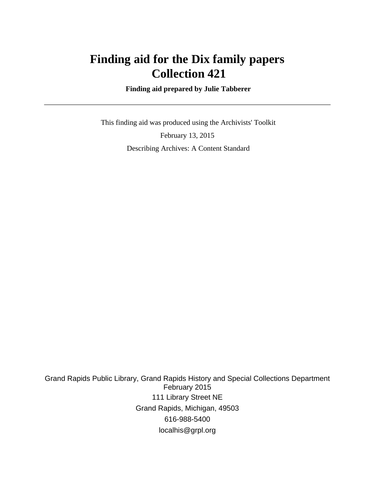# **Finding aid for the Dix family papers Collection 421**

 **Finding aid prepared by Julie Tabberer**

 This finding aid was produced using the Archivists' Toolkit February 13, 2015 Describing Archives: A Content Standard

Grand Rapids Public Library, Grand Rapids History and Special Collections Department February 2015 111 Library Street NE Grand Rapids, Michigan, 49503 616-988-5400 localhis@grpl.org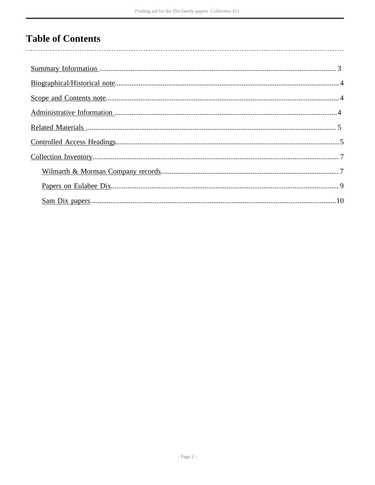# **Table of Contents**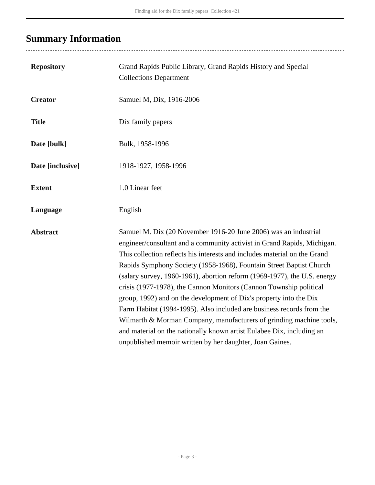# <span id="page-2-0"></span>**Summary Information**

| <b>Repository</b> | Grand Rapids Public Library, Grand Rapids History and Special<br><b>Collections Department</b>                                                                                                                                                                                                                                                                                                                                                                                                                                                                                                                                                                                                                                                                                                              |
|-------------------|-------------------------------------------------------------------------------------------------------------------------------------------------------------------------------------------------------------------------------------------------------------------------------------------------------------------------------------------------------------------------------------------------------------------------------------------------------------------------------------------------------------------------------------------------------------------------------------------------------------------------------------------------------------------------------------------------------------------------------------------------------------------------------------------------------------|
| <b>Creator</b>    | Samuel M, Dix, 1916-2006                                                                                                                                                                                                                                                                                                                                                                                                                                                                                                                                                                                                                                                                                                                                                                                    |
| <b>Title</b>      | Dix family papers                                                                                                                                                                                                                                                                                                                                                                                                                                                                                                                                                                                                                                                                                                                                                                                           |
| Date [bulk]       | Bulk, 1958-1996                                                                                                                                                                                                                                                                                                                                                                                                                                                                                                                                                                                                                                                                                                                                                                                             |
| Date [inclusive]  | 1918-1927, 1958-1996                                                                                                                                                                                                                                                                                                                                                                                                                                                                                                                                                                                                                                                                                                                                                                                        |
| <b>Extent</b>     | 1.0 Linear feet                                                                                                                                                                                                                                                                                                                                                                                                                                                                                                                                                                                                                                                                                                                                                                                             |
| Language          | English                                                                                                                                                                                                                                                                                                                                                                                                                                                                                                                                                                                                                                                                                                                                                                                                     |
| <b>Abstract</b>   | Samuel M. Dix (20 November 1916-20 June 2006) was an industrial<br>engineer/consultant and a community activist in Grand Rapids, Michigan.<br>This collection reflects his interests and includes material on the Grand<br>Rapids Symphony Society (1958-1968), Fountain Street Baptist Church<br>(salary survey, 1960-1961), abortion reform (1969-1977), the U.S. energy<br>crisis (1977-1978), the Cannon Monitors (Cannon Township political<br>group, 1992) and on the development of Dix's property into the Dix<br>Farm Habitat (1994-1995). Also included are business records from the<br>Wilmarth & Morman Company, manufacturers of grinding machine tools,<br>and material on the nationally known artist Eulabee Dix, including an<br>unpublished memoir written by her daughter, Joan Gaines. |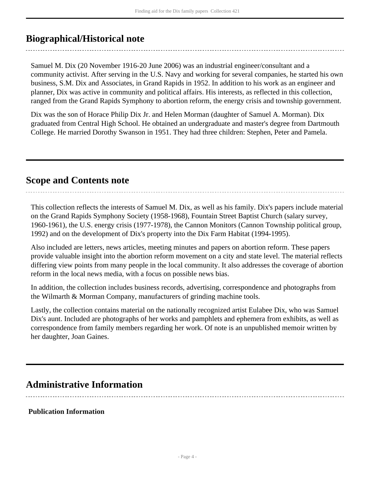# <span id="page-3-0"></span>**Biographical/Historical note**

Samuel M. Dix (20 November 1916-20 June 2006) was an industrial engineer/consultant and a community activist. After serving in the U.S. Navy and working for several companies, he started his own business, S.M. Dix and Associates, in Grand Rapids in 1952. In addition to his work as an engineer and planner, Dix was active in community and political affairs. His interests, as reflected in this collection, ranged from the Grand Rapids Symphony to abortion reform, the energy crisis and township government.

Dix was the son of Horace Philip Dix Jr. and Helen Morman (daughter of Samuel A. Morman). Dix graduated from Central High School. He obtained an undergraduate and master's degree from Dartmouth College. He married Dorothy Swanson in 1951. They had three children: Stephen, Peter and Pamela.

# <span id="page-3-1"></span>**Scope and Contents note**

This collection reflects the interests of Samuel M. Dix, as well as his family. Dix's papers include material on the Grand Rapids Symphony Society (1958-1968), Fountain Street Baptist Church (salary survey, 1960-1961), the U.S. energy crisis (1977-1978), the Cannon Monitors (Cannon Township political group, 1992) and on the development of Dix's property into the Dix Farm Habitat (1994-1995).

Also included are letters, news articles, meeting minutes and papers on abortion reform. These papers provide valuable insight into the abortion reform movement on a city and state level. The material reflects differing view points from many people in the local community. It also addresses the coverage of abortion reform in the local news media, with a focus on possible news bias.

In addition, the collection includes business records, advertising, correspondence and photographs from the Wilmarth & Morman Company, manufacturers of grinding machine tools.

Lastly, the collection contains material on the nationally recognized artist Eulabee Dix, who was Samuel Dix's aunt. Included are photographs of her works and pamphlets and ephemera from exhibits, as well as correspondence from family members regarding her work. Of note is an unpublished memoir written by her daughter, Joan Gaines.

# <span id="page-3-2"></span>**Administrative Information**

### **Publication Information**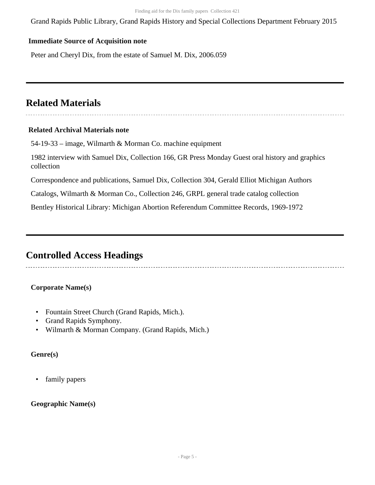Grand Rapids Public Library, Grand Rapids History and Special Collections Department February 2015

#### **Immediate Source of Acquisition note**

Peter and Cheryl Dix, from the estate of Samuel M. Dix, 2006.059

# <span id="page-4-0"></span>**Related Materials**

#### **Related Archival Materials note**

54-19-33 – image, Wilmarth & Morman Co. machine equipment

1982 interview with Samuel Dix, Collection 166, GR Press Monday Guest oral history and graphics collection

Correspondence and publications, Samuel Dix, Collection 304, Gerald Elliot Michigan Authors

Catalogs, Wilmarth & Morman Co., Collection 246, GRPL general trade catalog collection

Bentley Historical Library: Michigan Abortion Referendum Committee Records, 1969-1972

## <span id="page-4-1"></span>**Controlled Access Headings**

### **Corporate Name(s)**

- Fountain Street Church (Grand Rapids, Mich.).
- Grand Rapids Symphony.
- Wilmarth & Morman Company. (Grand Rapids, Mich.)

### **Genre(s)**

• family papers

### **Geographic Name(s)**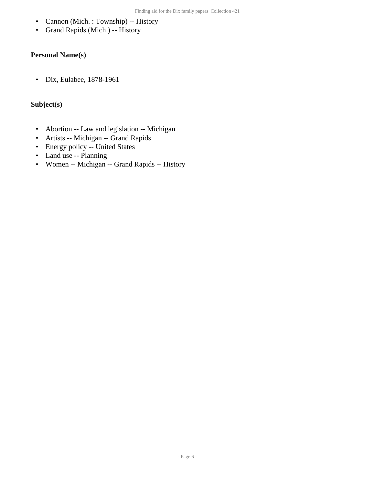- Cannon (Mich. : Township) -- History
- Grand Rapids (Mich.) -- History

## **Personal Name(s)**

• Dix, Eulabee, 1878-1961

### **Subject(s)**

- Abortion -- Law and legislation -- Michigan
- Artists -- Michigan -- Grand Rapids
- Energy policy -- United States
- Land use -- Planning
- Women -- Michigan -- Grand Rapids -- History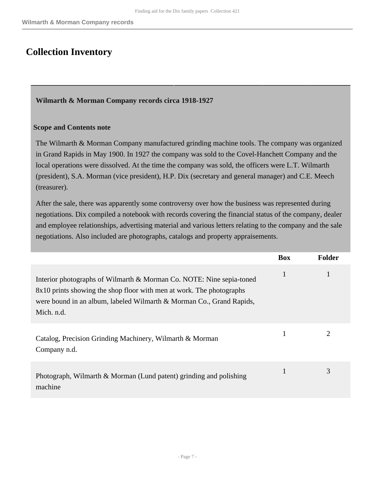# <span id="page-6-0"></span>**Collection Inventory**

#### <span id="page-6-1"></span>**Wilmarth & Morman Company records circa 1918-1927**

#### **Scope and Contents note**

The Wilmarth & Morman Company manufactured grinding machine tools. The company was organized in Grand Rapids in May 1900. In 1927 the company was sold to the Covel-Hanchett Company and the local operations were dissolved. At the time the company was sold, the officers were L.T. Wilmarth (president), S.A. Morman (vice president), H.P. Dix (secretary and general manager) and C.E. Meech (treasurer).

After the sale, there was apparently some controversy over how the business was represented during negotiations. Dix compiled a notebook with records covering the financial status of the company, dealer and employee relationships, advertising material and various letters relating to the company and the sale negotiations. Also included are photographs, catalogs and property appraisements.

|                                                                                                                                                                                                                                    | <b>Box</b> | <b>Folder</b> |
|------------------------------------------------------------------------------------------------------------------------------------------------------------------------------------------------------------------------------------|------------|---------------|
| Interior photographs of Wilmarth & Morman Co. NOTE: Nine sepia-toned<br>8x10 prints showing the shop floor with men at work. The photographs<br>were bound in an album, labeled Wilmarth & Morman Co., Grand Rapids,<br>Mich. n.d. | 1          |               |
| Catalog, Precision Grinding Machinery, Wilmarth & Morman<br>Company n.d.                                                                                                                                                           |            | 2             |
| Photograph, Wilmarth & Morman (Lund patent) grinding and polishing<br>machine                                                                                                                                                      |            | 3             |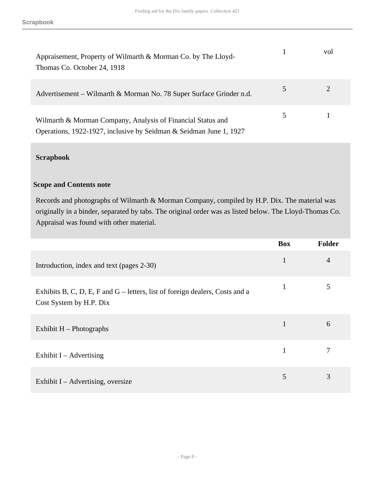| Appraisement, Property of Wilmarth & Morman Co. by The Lloyd-<br>Thomas Co. October 24, 1918                                      |   | vol |
|-----------------------------------------------------------------------------------------------------------------------------------|---|-----|
| Advertisement – Wilmarth & Morman No. 78 Super Surface Grinder n.d.                                                               |   |     |
| Wilmarth & Morman Company, Analysis of Financial Status and<br>Operations, 1922-1927, inclusive by Seidman & Seidman June 1, 1927 | 5 |     |

### **Scrapbook**

#### **Scope and Contents note**

Records and photographs of Wilmarth & Morman Company, compiled by H.P. Dix. The material was originally in a binder, separated by tabs. The original order was as listed below. The Lloyd-Thomas Co. Appraisal was found with other material.

|                                                                                                         | <b>Box</b> | <b>Folder</b> |
|---------------------------------------------------------------------------------------------------------|------------|---------------|
| Introduction, index and text (pages 2-30)                                                               | 1          | 4             |
| Exhibits B, C, D, E, F and G – letters, list of foreign dealers, Costs and a<br>Cost System by H.P. Dix | 1          | 5             |
| Exhibit $H$ – Photographs                                                                               |            | 6             |
| Exhibit $I -$ Advertising                                                                               |            |               |
| Exhibit $I -$ Advertising, oversize                                                                     | 5          | 3             |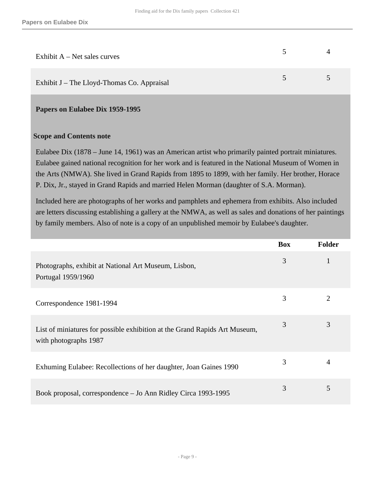| Exhibit $A$ – Net sales curves             |        |        |
|--------------------------------------------|--------|--------|
| Exhibit J – The Lloyd-Thomas Co. Appraisal | $\sim$ | $\sim$ |

#### <span id="page-8-0"></span>**Papers on Eulabee Dix 1959-1995**

#### **Scope and Contents note**

Eulabee Dix (1878 – June 14, 1961) was an American artist who primarily painted portrait miniatures. Eulabee gained national recognition for her work and is featured in the National Museum of Women in the Arts (NMWA). She lived in Grand Rapids from 1895 to 1899, with her family. Her brother, Horace P. Dix, Jr., stayed in Grand Rapids and married Helen Morman (daughter of S.A. Morman).

Included here are photographs of her works and pamphlets and ephemera from exhibits. Also included are letters discussing establishing a gallery at the NMWA, as well as sales and donations of her paintings by family members. Also of note is a copy of an unpublished memoir by Eulabee's daughter.

|                                                                                                     | <b>Box</b> | <b>Folder</b> |
|-----------------------------------------------------------------------------------------------------|------------|---------------|
| Photographs, exhibit at National Art Museum, Lisbon,<br>Portugal 1959/1960                          | 3          | 1             |
| Correspondence 1981-1994                                                                            | 3          | 2             |
| List of miniatures for possible exhibition at the Grand Rapids Art Museum,<br>with photographs 1987 | 3          | 3             |
| Exhuming Eulabee: Recollections of her daughter, Joan Gaines 1990                                   | 3          | 4             |
| Book proposal, correspondence – Jo Ann Ridley Circa 1993-1995                                       | 3          | 5             |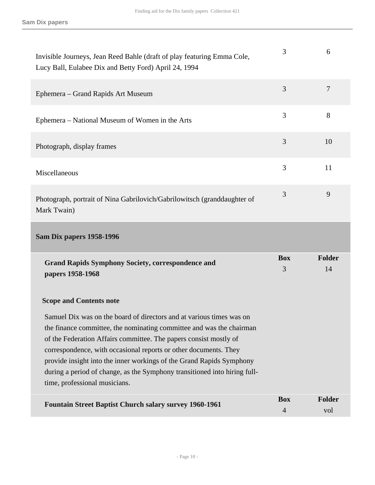<span id="page-9-0"></span>

| <b>Scope and Contents note</b><br>Samuel Dix was on the board of directors and at various times was on<br>the finance committee, the nominating committee and was the chairman<br>of the Federation Affairs committee. The papers consist mostly of<br>correspondence, with occasional reports or other documents. They<br>provide insight into the inner workings of the Grand Rapids Symphony<br>during a period of change, as the Symphony transitioned into hiring full-<br>time, professional musicians. |                 |                     |
|---------------------------------------------------------------------------------------------------------------------------------------------------------------------------------------------------------------------------------------------------------------------------------------------------------------------------------------------------------------------------------------------------------------------------------------------------------------------------------------------------------------|-----------------|---------------------|
|                                                                                                                                                                                                                                                                                                                                                                                                                                                                                                               |                 |                     |
| <b>Grand Rapids Symphony Society, correspondence and</b><br>papers 1958-1968                                                                                                                                                                                                                                                                                                                                                                                                                                  | <b>Box</b><br>3 | <b>Folder</b><br>14 |
| Sam Dix papers 1958-1996                                                                                                                                                                                                                                                                                                                                                                                                                                                                                      |                 |                     |
| Photograph, portrait of Nina Gabrilovich/Gabrilowitsch (granddaughter of<br>Mark Twain)                                                                                                                                                                                                                                                                                                                                                                                                                       | 3               | 9                   |
| Miscellaneous                                                                                                                                                                                                                                                                                                                                                                                                                                                                                                 | 3               | 11                  |
| Photograph, display frames                                                                                                                                                                                                                                                                                                                                                                                                                                                                                    | 3               | 10                  |
| Ephemera – National Museum of Women in the Arts                                                                                                                                                                                                                                                                                                                                                                                                                                                               | 3               | 8                   |
| Ephemera – Grand Rapids Art Museum                                                                                                                                                                                                                                                                                                                                                                                                                                                                            | 3               | $\overline{7}$      |
|                                                                                                                                                                                                                                                                                                                                                                                                                                                                                                               |                 |                     |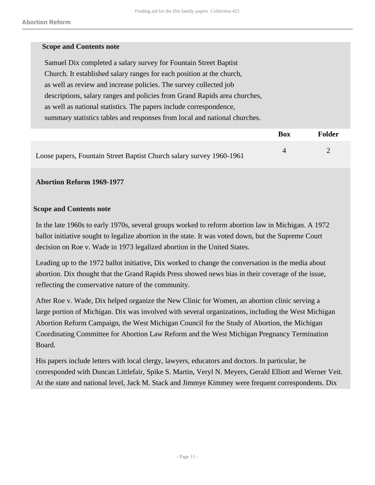| <b>Scope and Contents note</b> |                                                                           |
|--------------------------------|---------------------------------------------------------------------------|
|                                |                                                                           |
|                                | Samuel Dix completed a salary survey for Fountain Street Baptist          |
|                                | Church. It established salary ranges for each position at the church,     |
|                                | as well as review and increase policies. The survey collected job         |
|                                | descriptions, salary ranges and policies from Grand Rapids area churches, |
|                                | as well as national statistics. The papers include correspondence,        |
|                                | summary statistics tables and responses from local and national churches. |
|                                |                                                                           |

|                                                                      | Box | <b>Folder</b> |
|----------------------------------------------------------------------|-----|---------------|
| Loose papers, Fountain Street Baptist Church salary survey 1960-1961 |     |               |

#### **Abortion Reform 1969-1977**

#### **Scope and Contents note**

In the late 1960s to early 1970s, several groups worked to reform abortion law in Michigan. A 1972 ballot initiative sought to legalize abortion in the state. It was voted down, but the Supreme Court decision on Roe v. Wade in 1973 legalized abortion in the United States.

Leading up to the 1972 ballot initiative, Dix worked to change the conversation in the media about abortion. Dix thought that the Grand Rapids Press showed news bias in their coverage of the issue, reflecting the conservative nature of the community.

After Roe v. Wade, Dix helped organize the New Clinic for Women, an abortion clinic serving a large portion of Michigan. Dix was involved with several organizations, including the West Michigan Abortion Reform Campaign, the West Michigan Council for the Study of Abortion, the Michigan Coordinating Committee for Abortion Law Reform and the West Michigan Pregnancy Termination Board.

His papers include letters with local clergy, lawyers, educators and doctors. In particular, he corresponded with Duncan Littlefair, Spike S. Martin, Veryl N. Meyers, Gerald Elliott and Werner Veit. At the state and national level, Jack M. Stack and Jimmye Kimmey were frequent correspondents. Dix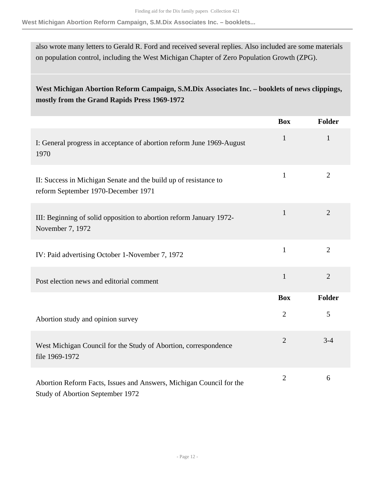**West Michigan Abortion Reform Campaign, S.M.Dix Associates Inc. – booklets...**

also wrote many letters to Gerald R. Ford and received several replies. Also included are some materials on population control, including the West Michigan Chapter of Zero Population Growth (ZPG).

## **West Michigan Abortion Reform Campaign, S.M.Dix Associates Inc. – booklets of news clippings, mostly from the Grand Rapids Press 1969-1972**

|                                                                                                         | <b>Box</b>     | <b>Folder</b>  |
|---------------------------------------------------------------------------------------------------------|----------------|----------------|
| I: General progress in acceptance of abortion reform June 1969-August<br>1970                           | $\mathbf{1}$   | $\mathbf{1}$   |
| II: Success in Michigan Senate and the build up of resistance to<br>reform September 1970-December 1971 | $\mathbf{1}$   | $\overline{2}$ |
| III: Beginning of solid opposition to abortion reform January 1972-<br>November 7, 1972                 | 1              | $\overline{2}$ |
| IV: Paid advertising October 1-November 7, 1972                                                         | $\mathbf{1}$   | $\overline{2}$ |
| Post election news and editorial comment                                                                | $\mathbf{1}$   | $\overline{2}$ |
|                                                                                                         | <b>Box</b>     | <b>Folder</b>  |
| Abortion study and opinion survey                                                                       | $\overline{2}$ | 5              |
| West Michigan Council for the Study of Abortion, correspondence<br>file 1969-1972                       | $\overline{2}$ | $3 - 4$        |
| Abortion Reform Facts, Issues and Answers, Michigan Council for the<br>Study of Abortion September 1972 | $\overline{2}$ | 6              |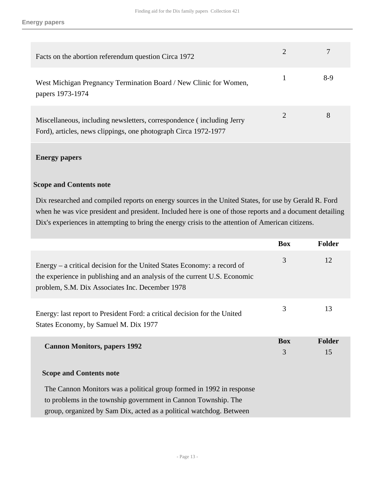| Facts on the abortion referendum question Circa 1972                                                                                     |                |     |
|------------------------------------------------------------------------------------------------------------------------------------------|----------------|-----|
| West Michigan Pregnancy Termination Board / New Clinic for Women,<br>papers 1973-1974                                                    | 1              | 8-9 |
| Miscellaneous, including newsletters, correspondence (including Jerry<br>Ford), articles, news clippings, one photograph Circa 1972-1977 | $\overline{2}$ | 8   |
| <b>Energy papers</b>                                                                                                                     |                |     |

#### **Scope and Contents note**

Dix researched and compiled reports on energy sources in the United States, for use by Gerald R. Ford when he was vice president and president. Included here is one of those reports and a document detailing Dix's experiences in attempting to bring the energy crisis to the attention of American citizens.

|                                                                                                                                                                                                               | <b>Box</b>      | <b>Folder</b> |
|---------------------------------------------------------------------------------------------------------------------------------------------------------------------------------------------------------------|-----------------|---------------|
| Energy – a critical decision for the United States Economy: a record of<br>the experience in publishing and an analysis of the current U.S. Economic<br>problem, S.M. Dix Associates Inc. December 1978       | 3               | 12            |
| Energy: last report to President Ford: a critical decision for the United<br>States Economy, by Samuel M. Dix 1977                                                                                            | 3               | 13            |
| <b>Cannon Monitors, papers 1992</b><br><b>Scope and Contents note</b>                                                                                                                                         | <b>Box</b><br>3 | Folder<br>15  |
| The Cannon Monitors was a political group formed in 1992 in response<br>to problems in the township government in Cannon Township. The<br>group, organized by Sam Dix, acted as a political watchdog. Between |                 |               |